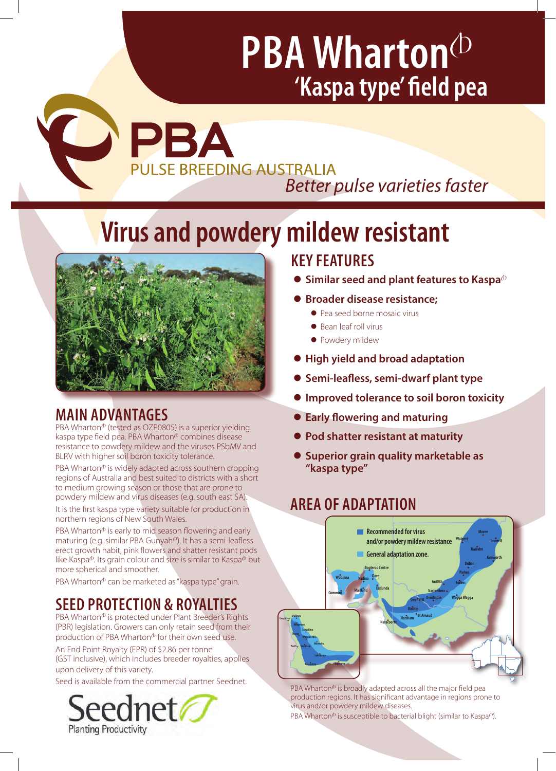# **PBA Wharton**<sup> $\Phi$ </sup> **'Kaspa type' field pea**

COPBA **PULSE BREEDING AUSTRALIA** *Better pulse varieties faster* 

## **Virus and powdery mildew resistant**



## **MAIN ADVANTAGES**

PBA Wharton $\Phi$  (tested as OZP0805) is a superior yielding kaspa type field pea. PBA Wharton<sup>®</sup> combines disease resistance to powdery mildew and the viruses PSbMV and BLRV with higher soil boron toxicity tolerance.

 $PBA Wharton<sup>o</sup>$  is widely adapted across southern cropping regions of Australia and best suited to districts with a short to medium growing season or those that are prone to powdery mildew and virus diseases (e.g. south east SA).

It is the first kaspa type variety suitable for production in northern regions of New South Wales.

PBA Wharton<sup>®</sup> is early to mid season flowering and early **Commaturing (e.g. similar PBA Gunyah<sup>(b</sup>). It has a semi-leafless Experiming (Eigenman Film Eing) and you have a bunning the sense of the sense of the sense of the sense of the sense of the sense of the sense of the sense of the sense of the sense of the sense of the sense of the sense like Kaspa<sup>®</sup>. Its grain colour and size is similar to Kaspa<sup>®</sup> but is expected.** more spherical and smoother. **Lake Grace**

PBA Wharton<sup>®</sup> can be marketed as "kaspa type" grain.

## **SEED PROTECTION & ROYALTIES**

PBA Wharton<sup>®</sup> is protected under Plant Breeder's Rights (PBR) legislation. Growers can only retain seed from their production of PBA Wharton $\Phi$  for their own seed use.

An End Point Royalty (EPR) of \$2.86 per tonne (GST inclusive), which includes breeder royalties, applies upon delivery of this variety.

Seed is available from the commercial partner Seednet.



## **KEY FEATURES**

- **Similar seed and plant features to Kaspa** $\Phi$
- **Broader disease resistance:** 
	- Pea seed borne mosaic virus
	- Bean leaf roll virus
	- Powdery mildew
- **High yield and broad adaptation**
- **Semi-leafless, semi-dwarf plant type**
- **Improved tolerance to soil boron toxicity**
- **Early flowering and maturing**
- **Pod shatter resistant at maturity**
- **Superior grain quality marketable as "kaspa type"**

## **AREA OF ADAPTATION**



PBA Wharton<sup>®</sup> is broadly adapted across all the major field pea production regions. It has significant advantage in regions prone to virus and/or powdery mildew diseases.

PBA Wharton $\Phi$  is susceptible to bacterial blight (similar to Kaspa $\Phi$ ).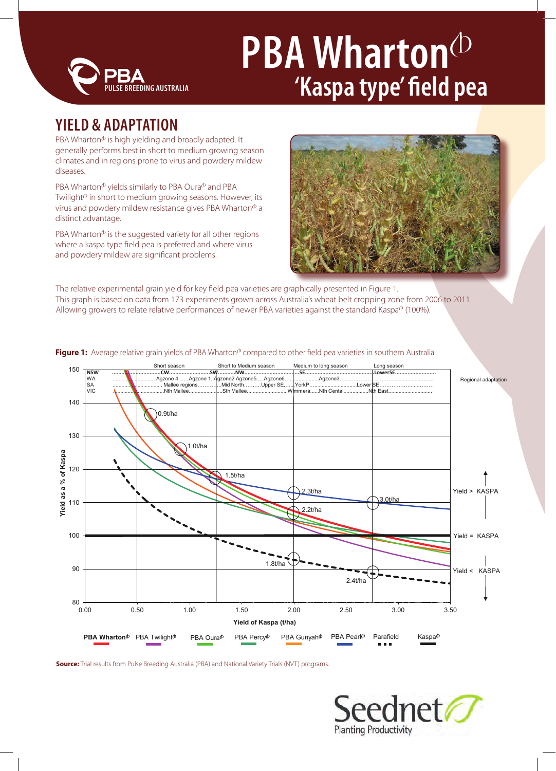

## **PBA Wharton**<sup>(b)</sup> **'Kaspa type' field pea**

## **YIELD & ADAPTATION**

PBA Wharton $\Phi$  is high yielding and broadly adapted. It generally performs best in short to medium growing season climates and in regions prone to virus and powdery mildew diseases.

PBA Wharton $\Phi$  yields similarly to PBA Oura $\Phi$  and PBA Twilight $\Phi$  in short to medium growing seasons. However, its virus and powdery mildew resistance gives PBA Wharton<sup>®</sup> a distinct advantage.

PBA Wharton $\Phi$  is the suggested variety for all other regions where a kaspa type field pea is preferred and where virus and powdery mildew are significant problems.



The relative experimental grain yield for key field pea varieties are graphically presented in Figure 1. This graph is based on data from 173 experiments grown across Australia's wheat belt cropping zone from 2006 to 2011. Allowing growers to relate relative performances of newer PBA varieties against the standard Kaspa<sup>®</sup> (100%).



**Figure 1:** Average relative grain yields of PBA Wharton<sup>®</sup> compared to other field pea varieties in southern Australia

**Source:** Trial results from Pulse Breeding Australia (PBA) and National Variety Trials (NVT) programs.

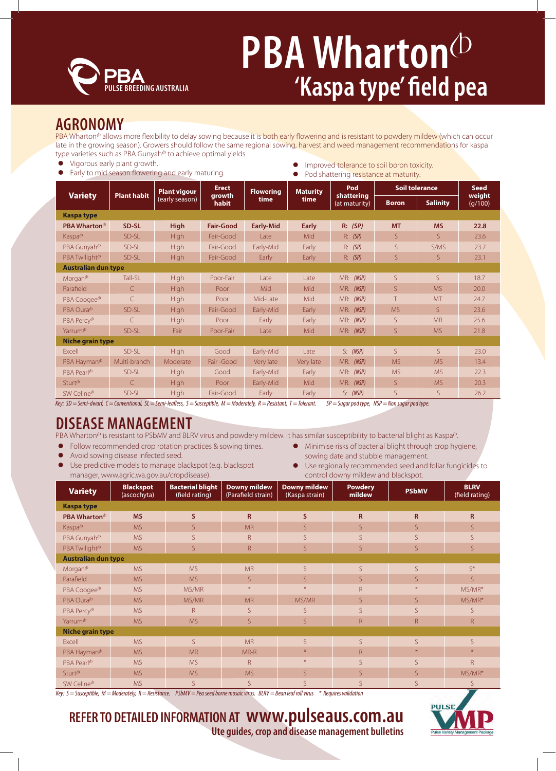

## **PBA Wharton**<sup> $\Phi$ </sup> **'Kaspa type' field pea**

### **AGRONOMY**

PBA Wharton<sup>®</sup> allows more flexibility to delay sowing because it is both early flowering and is resistant to powdery mildew (which can occur late in the growing season). Growers should follow the same regional sowing, harvest and weed management recommendations for kaspa type varieties such as PBA Gunyah<sup>®</sup> to achieve optimal yields.

- Vigorous early plant growth.
- Early to mid season flowering and early maturing.
- **•** Improved tolerance to soil boron toxicity.
- Pod shattering resistance at maturity.

| <b>Variety</b>             | <b>Plant habit</b> | <b>Plant vigour</b><br>(early season) | <b>Erect</b><br>growth<br>habit | <b>Flowering</b><br>time | <b>Maturity</b><br>time | Pod<br>shattering<br>(at maturity) | <b>Soil tolerance</b> |                 | <b>Seed</b>       |  |  |
|----------------------------|--------------------|---------------------------------------|---------------------------------|--------------------------|-------------------------|------------------------------------|-----------------------|-----------------|-------------------|--|--|
|                            |                    |                                       |                                 |                          |                         |                                    | <b>Boron</b>          | <b>Salinity</b> | weight<br>(g/100) |  |  |
| <b>Kaspa type</b>          |                    |                                       |                                 |                          |                         |                                    |                       |                 |                   |  |  |
| PBA Wharton <sup>®</sup>   | SD-SL              | <b>High</b>                           | <b>Fair-Good</b>                | <b>Early-Mid</b>         | <b>Early</b>            | R: (SP)                            | <b>MT</b>             | <b>MS</b>       | 22.8              |  |  |
| Kaspa <sup>®</sup>         | SD-SL              | <b>High</b>                           | Fair-Good                       | Late                     | Mid                     | R: (SP)                            | S.                    | S.              | 23.6              |  |  |
| PBA Gunyah <sup>®</sup>    | SD-SL              | <b>High</b>                           | Fair-Good                       | Early-Mid                | Early                   | R: (SP)                            | S                     | S/MS            | 23.7              |  |  |
| PBA Twilight <sup>®</sup>  | SD-SL              | <b>High</b>                           | Fair-Good                       | Early                    | Early                   | R: (SP)                            | S.                    | S.              | 23.1              |  |  |
| <b>Australian dun type</b> |                    |                                       |                                 |                          |                         |                                    |                       |                 |                   |  |  |
| Morgan <sup>®</sup>        | Tall-SL            | <b>High</b>                           | Poor-Fair                       | Late                     | Late                    | MR: (NSP)                          | S                     | S.              | 18.7              |  |  |
| Parafield                  | $\mathsf{C}$       | <b>High</b>                           | Poor                            | Mid                      | Mid                     | MR: (NSP)                          | S                     | <b>MS</b>       | 20.0              |  |  |
| PBA Coogee <sup>(b)</sup>  | $\mathsf{C}$       | <b>High</b>                           | Poor                            | Mid-Late                 | Mid                     | MR:<br>(NSP)                       | T                     | <b>MT</b>       | 24.7              |  |  |
| PBA Oura <sup>db</sup>     | SD-SL              | <b>High</b>                           | Fair-Good                       | Early-Mid                | Early                   | MR:<br>(NSP)                       | <b>MS</b>             | S.              | 23.6              |  |  |
| PBA Percy <sup>®</sup>     | $\mathcal{C}$      | <b>High</b>                           | Poor                            | Early                    | Early                   | MR: (NSP)                          | S                     | <b>MR</b>       | 25.6              |  |  |
| Yarrum <sup>®</sup>        | SD-SL              | Fair                                  | Poor-Fair                       | Late                     | Mid                     | <b>MR:</b> (NSP)                   | S                     | <b>MS</b>       | 21.8              |  |  |
| Niche grain type           |                    |                                       |                                 |                          |                         |                                    |                       |                 |                   |  |  |
| Excell                     | SD-SL              | <b>High</b>                           | Good                            | Early-Mid                | Late                    | S: (NSP)                           | S                     | S               | 23.0              |  |  |
| PBA Hayman <sup>®</sup>    | Multi-branch       | Moderate                              | Fair-Good                       | Very late                | Very late               | MR: (NSP)                          | <b>MS</b>             | <b>MS</b>       | 13.4              |  |  |
| PBA Pearl <sup>®</sup>     | SD-SL              | <b>High</b>                           | Good                            | Early-Mid                | Early                   | MR: (NSP)                          | <b>MS</b>             | <b>MS</b>       | 22.3              |  |  |
| Sturt <sup>®</sup>         | $\mathsf{C}$       | <b>High</b>                           | Poor                            | Early-Mid                | Mid                     | MR: (NSP)                          | S                     | <b>MS</b>       | 20.3              |  |  |
| SW Celine <sup>®</sup>     | SD-SL              | <b>High</b>                           | Fair-Good                       | Early                    | Early                   | S: (NSP)                           | S                     | <sub>S</sub>    | 26.2              |  |  |

*Key: SD = Semi-dwarf, C = Conventional, SL = Semi-leafless, S = Susceptible, M = Moderately, R = Resistant, T = Tolerant. SP = Sugar pod type, NSP = Non sugar pod type.*

## **DISEASE MANAGEMENT**

PBA Wharton<sup>®</sup> is resistant to PSbMV and BLRV virus and powdery mildew. It has similar susceptibility to bacterial blight as Kaspa®.

- Follow recommended crop rotation practices & sowing times.
- Avoid sowing disease infected seed.
- Use predictive models to manage blackspot (e.g. blackspot manager, www.agric.wa.gov.au/cropdisease).
- Minimise risks of bacterial blight through crop hygiene, sowing date and stubble management.
- **•** Use regionally recommended seed and foliar fungicides to control downy mildew and blackspot.

| <b>Variety</b>             | <b>Blackspot</b><br>(ascochyta) | <b>Bacterial blight</b><br>(field rating) | <b>Downy mildew</b><br>(Parafield strain) | <b>Downy mildew</b><br>(Kaspa strain) | <b>Powdery</b><br>mildew | <b>PSbMV</b>   | <b>BLRV</b><br>(field rating) |  |  |  |
|----------------------------|---------------------------------|-------------------------------------------|-------------------------------------------|---------------------------------------|--------------------------|----------------|-------------------------------|--|--|--|
| <b>Kaspa type</b>          |                                 |                                           |                                           |                                       |                          |                |                               |  |  |  |
| PBA Wharton <sup>®</sup>   | <b>MS</b>                       | S.                                        | $\mathbf R$                               | S.                                    | $\overline{\mathsf{R}}$  | $\mathsf{R}$   | $\mathsf{R}$                  |  |  |  |
| Kaspa <sup>®</sup>         | <b>MS</b>                       | S.                                        | <b>MR</b>                                 | S.                                    | S.                       | $\mathsf{S}$   | S                             |  |  |  |
| PBA Gunyah <sup>®</sup>    | <b>MS</b>                       | S.                                        | $\mathsf{R}$                              | S.                                    | S.                       | S              | S                             |  |  |  |
| PBA Twilight <sup>®</sup>  | <b>MS</b>                       | S                                         | $\mathsf{R}$                              | S.                                    | S.                       | S              | S                             |  |  |  |
| <b>Australian dun type</b> |                                 |                                           |                                           |                                       |                          |                |                               |  |  |  |
| Morgan <sup>®</sup>        | <b>MS</b>                       | <b>MS</b>                                 | <b>MR</b>                                 | S                                     | S.                       | S.             | $S^*$                         |  |  |  |
| Parafield                  | <b>MS</b>                       | <b>MS</b>                                 | S                                         | S.                                    | S.                       | S.             | S                             |  |  |  |
| PBA Coogee <sup>(b)</sup>  | <b>MS</b>                       | MS/MR                                     | $*$                                       | $*$                                   | R.                       |                | MS/MR*                        |  |  |  |
| PBA Oura <sup>®</sup>      | <b>MS</b>                       | MS/MR                                     | <b>MR</b>                                 | MS/MR                                 | S.                       | S.             | MS/MR*                        |  |  |  |
| PBA Percy <sup>®</sup>     | <b>MS</b>                       | $\mathsf{R}$                              | S                                         | S.                                    | S                        | S              | S                             |  |  |  |
| Yarrum <sup>®</sup>        | <b>MS</b>                       | <b>MS</b>                                 | S                                         | $\mathsf{S}$                          | R.                       | $\overline{R}$ | $\mathsf{R}$                  |  |  |  |
| <b>Niche grain type</b>    |                                 |                                           |                                           |                                       |                          |                |                               |  |  |  |
| Excell                     | <b>MS</b>                       | S.                                        | <b>MR</b>                                 | S.                                    | S.                       | S.             | S                             |  |  |  |
| PBA Hayman <sup>®</sup>    | <b>MS</b>                       | <b>MR</b>                                 | MR-R                                      | $\divideontimes$                      | R.                       | $\ast$         | $\divideontimes$              |  |  |  |
| PBA Pearl <sup>®</sup>     | <b>MS</b>                       | <b>MS</b>                                 | $\mathsf{R}$                              | $*$                                   | S                        | S              | $\mathsf{R}$                  |  |  |  |
| Sturt <sup>®</sup>         | <b>MS</b>                       | <b>MS</b>                                 | <b>MS</b>                                 | S.                                    | S.                       | S.             | MS/MR*                        |  |  |  |
| SW Celine®                 | <b>MS</b>                       | S                                         | S                                         | S.                                    | S.                       | S.             | S                             |  |  |  |

*Key: S = Susceptible, M = Moderately, R = Resistance. PSbMV = Pea seed borne mosaic virus. BLRV = Bean leaf roll virus \* Requires validation* 



**REFER TO DETAILED INFORMATION AT www.pulseaus.com.au Ute guides, crop and disease management bulletins**